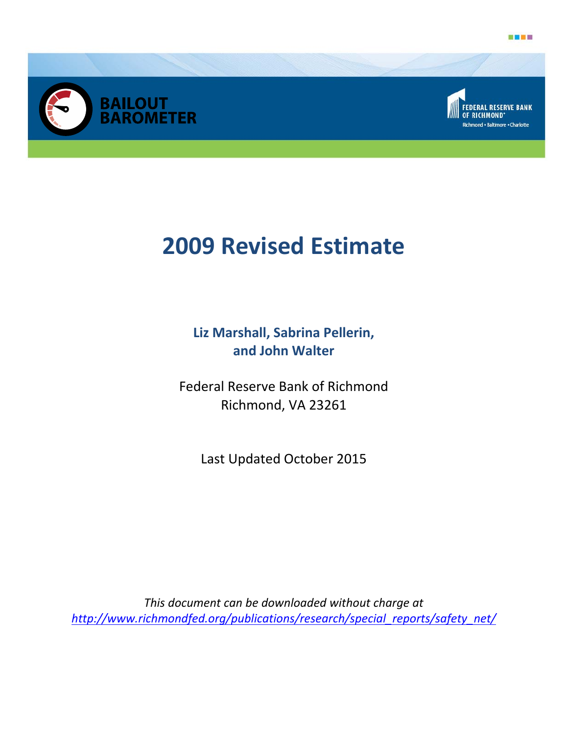





# **2009 Revised Estimate**

**Liz Marshall, Sabrina Pellerin, and John Walter** 

Federal Reserve Bank of Richmond Richmond, VA 23261

Last Updated October 2015

*This document can be downloaded without charge at http://www.richmondfed.org/publications/research/special\_reports/safety\_net/*